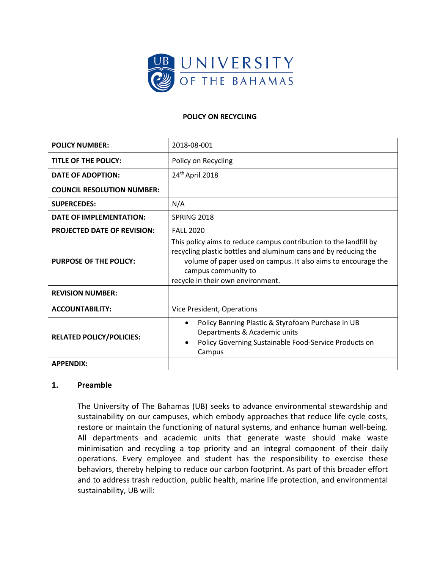

## **POLICY ON RECYCLING**

| <b>POLICY NUMBER:</b>              | 2018-08-001                                                                                                                                                                                                                                                       |
|------------------------------------|-------------------------------------------------------------------------------------------------------------------------------------------------------------------------------------------------------------------------------------------------------------------|
| TITLE OF THE POLICY:               | Policy on Recycling                                                                                                                                                                                                                                               |
| DATE OF ADOPTION:                  | 24 <sup>th</sup> April 2018                                                                                                                                                                                                                                       |
| <b>COUNCIL RESOLUTION NUMBER:</b>  |                                                                                                                                                                                                                                                                   |
| <b>SUPERCEDES:</b>                 | N/A                                                                                                                                                                                                                                                               |
| DATE OF IMPLEMENTATION:            | SPRING 2018                                                                                                                                                                                                                                                       |
| <b>PROJECTED DATE OF REVISION:</b> | <b>FALL 2020</b>                                                                                                                                                                                                                                                  |
| <b>PURPOSE OF THE POLICY:</b>      | This policy aims to reduce campus contribution to the landfill by<br>recycling plastic bottles and aluminum cans and by reducing the<br>volume of paper used on campus. It also aims to encourage the<br>campus community to<br>recycle in their own environment. |
| <b>REVISION NUMBER:</b>            |                                                                                                                                                                                                                                                                   |
| <b>ACCOUNTABILITY:</b>             | Vice President, Operations                                                                                                                                                                                                                                        |
| <b>RELATED POLICY/POLICIES:</b>    | Policy Banning Plastic & Styrofoam Purchase in UB<br>$\bullet$<br>Departments & Academic units<br>Policy Governing Sustainable Food-Service Products on<br>$\bullet$<br>Campus                                                                                    |
| <b>APPENDIX:</b>                   |                                                                                                                                                                                                                                                                   |

### **1. Preamble**

The University of The Bahamas (UB) seeks to advance environmental stewardship and sustainability on our campuses, which embody approaches that reduce life cycle costs, restore or maintain the functioning of natural systems, and enhance human well-being. All departments and academic units that generate waste should make waste minimisation and recycling a top priority and an integral component of their daily operations. Every employee and student has the responsibility to exercise these behaviors, thereby helping to reduce our carbon footprint. As part of this broader effort and to address trash reduction, public health, marine life protection, and environmental sustainability, UB will: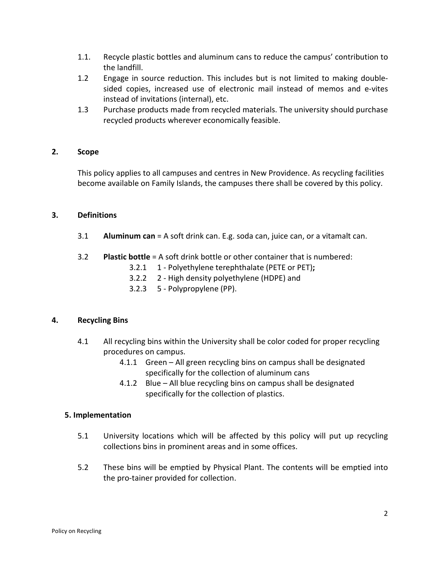- 1.1. Recycle plastic bottles and aluminum cans to reduce the campus' contribution to the landfill.
- 1.2 Engage in source reduction. This includes but is not limited to making doublesided copies, increased use of electronic mail instead of memos and e-vites instead of invitations (internal), etc.
- 1.3 Purchase products made from recycled materials. The university should purchase recycled products wherever economically feasible.

# **2. Scope**

This policy applies to all campuses and centres in New Providence. As recycling facilities become available on Family Islands, the campuses there shall be covered by this policy.

### **3. Definitions**

- 3.1 **Aluminum can** = A soft drink can. E.g. soda can, juice can, or a vitamalt can.
- 3.2 **Plastic bottle** = A soft drink bottle or other container that is numbered:
	- 3.2.1 1 Polyethylene terephthalate (PETE or PET)**;**
	- 3.2.2 2 High density polyethylene (HDPE) and
	- 3.2.3 5 Polypropylene (PP).

### **4. Recycling Bins**

- 4.1 All recycling bins within the University shall be color coded for proper recycling procedures on campus.
	- 4.1.1 Green All green recycling bins on campus shall be designated specifically for the collection of aluminum cans
	- 4.1.2 Blue All blue recycling bins on campus shall be designated specifically for the collection of plastics.

### **5. Implementation**

- 5.1 University locations which will be affected by this policy will put up recycling collections bins in prominent areas and in some offices.
- 5.2 These bins will be emptied by Physical Plant. The contents will be emptied into the pro-tainer provided for collection.